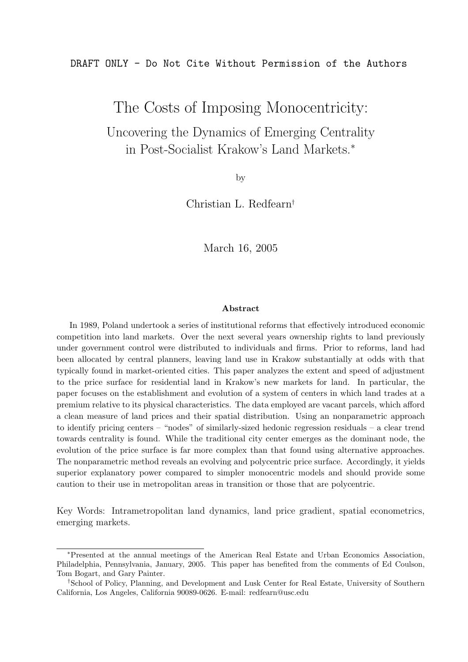#### DRAFT ONLY - Do Not Cite Without Permission of the Authors

The Costs of Imposing Monocentricity:

Uncovering the Dynamics of Emerging Centrality in Post-Socialist Krakow's Land Markets.<sup>∗</sup>

by

Christian L. Redfearn†

March 16, 2005

#### Abstract

In 1989, Poland undertook a series of institutional reforms that effectively introduced economic competition into land markets. Over the next several years ownership rights to land previously under government control were distributed to individuals and firms. Prior to reforms, land had been allocated by central planners, leaving land use in Krakow substantially at odds with that typically found in market-oriented cities. This paper analyzes the extent and speed of adjustment to the price surface for residential land in Krakow's new markets for land. In particular, the paper focuses on the establishment and evolution of a system of centers in which land trades at a premium relative to its physical characteristics. The data employed are vacant parcels, which afford a clean measure of land prices and their spatial distribution. Using an nonparametric approach to identify pricing centers – "nodes" of similarly-sized hedonic regression residuals – a clear trend towards centrality is found. While the traditional city center emerges as the dominant node, the evolution of the price surface is far more complex than that found using alternative approaches. The nonparametric method reveals an evolving and polycentric price surface. Accordingly, it yields superior explanatory power compared to simpler monocentric models and should provide some caution to their use in metropolitan areas in transition or those that are polycentric.

Key Words: Intrametropolitan land dynamics, land price gradient, spatial econometrics, emerging markets.

<sup>∗</sup>Presented at the annual meetings of the American Real Estate and Urban Economics Association, Philadelphia, Pennsylvania, January, 2005. This paper has benefited from the comments of Ed Coulson, Tom Bogart, and Gary Painter.

<sup>†</sup>School of Policy, Planning, and Development and Lusk Center for Real Estate, University of Southern California, Los Angeles, California 90089-0626. E-mail: redfearn@usc.edu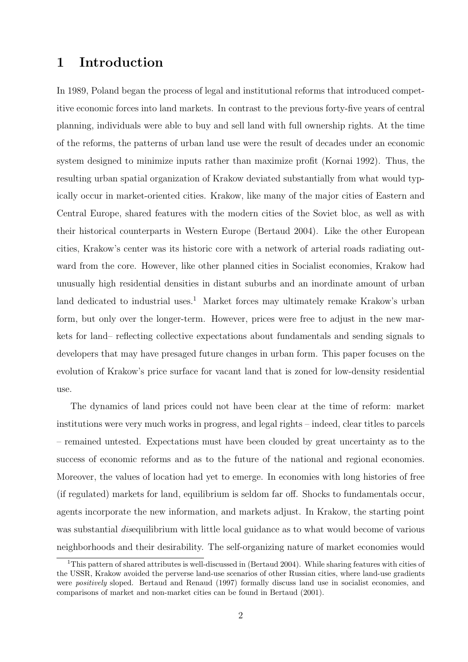### 1 Introduction

In 1989, Poland began the process of legal and institutional reforms that introduced competitive economic forces into land markets. In contrast to the previous forty-five years of central planning, individuals were able to buy and sell land with full ownership rights. At the time of the reforms, the patterns of urban land use were the result of decades under an economic system designed to minimize inputs rather than maximize profit (Kornai 1992). Thus, the resulting urban spatial organization of Krakow deviated substantially from what would typically occur in market-oriented cities. Krakow, like many of the major cities of Eastern and Central Europe, shared features with the modern cities of the Soviet bloc, as well as with their historical counterparts in Western Europe (Bertaud 2004). Like the other European cities, Krakow's center was its historic core with a network of arterial roads radiating outward from the core. However, like other planned cities in Socialist economies, Krakow had unusually high residential densities in distant suburbs and an inordinate amount of urban land dedicated to industrial uses.<sup>1</sup> Market forces may ultimately remake Krakow's urban form, but only over the longer-term. However, prices were free to adjust in the new markets for land– reflecting collective expectations about fundamentals and sending signals to developers that may have presaged future changes in urban form. This paper focuses on the evolution of Krakow's price surface for vacant land that is zoned for low-density residential use.

The dynamics of land prices could not have been clear at the time of reform: market institutions were very much works in progress, and legal rights – indeed, clear titles to parcels – remained untested. Expectations must have been clouded by great uncertainty as to the success of economic reforms and as to the future of the national and regional economies. Moreover, the values of location had yet to emerge. In economies with long histories of free (if regulated) markets for land, equilibrium is seldom far off. Shocks to fundamentals occur, agents incorporate the new information, and markets adjust. In Krakow, the starting point was substantial *disequilibrium* with little local guidance as to what would become of various neighborhoods and their desirability. The self-organizing nature of market economies would

<sup>&</sup>lt;sup>1</sup>This pattern of shared attributes is well-discussed in (Bertaud 2004). While sharing features with cities of the USSR, Krakow avoided the perverse land-use scenarios of other Russian cities, where land-use gradients were positively sloped. Bertaud and Renaud (1997) formally discuss land use in socialist economies, and comparisons of market and non-market cities can be found in Bertaud (2001).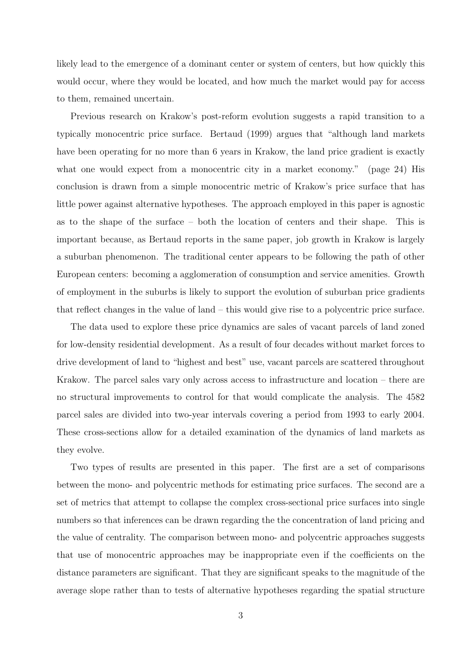likely lead to the emergence of a dominant center or system of centers, but how quickly this would occur, where they would be located, and how much the market would pay for access to them, remained uncertain.

Previous research on Krakow's post-reform evolution suggests a rapid transition to a typically monocentric price surface. Bertaud (1999) argues that "although land markets have been operating for no more than 6 years in Krakow, the land price gradient is exactly what one would expect from a monocentric city in a market economy." (page 24) His conclusion is drawn from a simple monocentric metric of Krakow's price surface that has little power against alternative hypotheses. The approach employed in this paper is agnostic as to the shape of the surface – both the location of centers and their shape. This is important because, as Bertaud reports in the same paper, job growth in Krakow is largely a suburban phenomenon. The traditional center appears to be following the path of other European centers: becoming a agglomeration of consumption and service amenities. Growth of employment in the suburbs is likely to support the evolution of suburban price gradients that reflect changes in the value of land – this would give rise to a polycentric price surface.

The data used to explore these price dynamics are sales of vacant parcels of land zoned for low-density residential development. As a result of four decades without market forces to drive development of land to "highest and best" use, vacant parcels are scattered throughout Krakow. The parcel sales vary only across access to infrastructure and location – there are no structural improvements to control for that would complicate the analysis. The 4582 parcel sales are divided into two-year intervals covering a period from 1993 to early 2004. These cross-sections allow for a detailed examination of the dynamics of land markets as they evolve.

Two types of results are presented in this paper. The first are a set of comparisons between the mono- and polycentric methods for estimating price surfaces. The second are a set of metrics that attempt to collapse the complex cross-sectional price surfaces into single numbers so that inferences can be drawn regarding the the concentration of land pricing and the value of centrality. The comparison between mono- and polycentric approaches suggests that use of monocentric approaches may be inappropriate even if the coefficients on the distance parameters are significant. That they are significant speaks to the magnitude of the average slope rather than to tests of alternative hypotheses regarding the spatial structure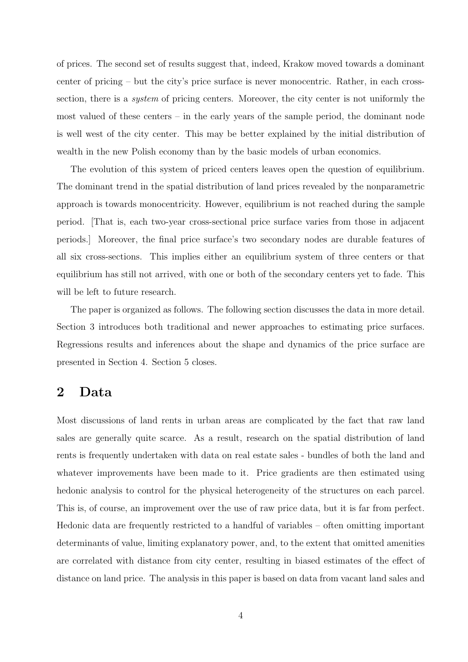of prices. The second set of results suggest that, indeed, Krakow moved towards a dominant center of pricing – but the city's price surface is never monocentric. Rather, in each crosssection, there is a *system* of pricing centers. Moreover, the city center is not uniformly the most valued of these centers – in the early years of the sample period, the dominant node is well west of the city center. This may be better explained by the initial distribution of wealth in the new Polish economy than by the basic models of urban economics.

The evolution of this system of priced centers leaves open the question of equilibrium. The dominant trend in the spatial distribution of land prices revealed by the nonparametric approach is towards monocentricity. However, equilibrium is not reached during the sample period. [That is, each two-year cross-sectional price surface varies from those in adjacent periods.] Moreover, the final price surface's two secondary nodes are durable features of all six cross-sections. This implies either an equilibrium system of three centers or that equilibrium has still not arrived, with one or both of the secondary centers yet to fade. This will be left to future research.

The paper is organized as follows. The following section discusses the data in more detail. Section 3 introduces both traditional and newer approaches to estimating price surfaces. Regressions results and inferences about the shape and dynamics of the price surface are presented in Section 4. Section 5 closes.

### 2 Data

Most discussions of land rents in urban areas are complicated by the fact that raw land sales are generally quite scarce. As a result, research on the spatial distribution of land rents is frequently undertaken with data on real estate sales - bundles of both the land and whatever improvements have been made to it. Price gradients are then estimated using hedonic analysis to control for the physical heterogeneity of the structures on each parcel. This is, of course, an improvement over the use of raw price data, but it is far from perfect. Hedonic data are frequently restricted to a handful of variables – often omitting important determinants of value, limiting explanatory power, and, to the extent that omitted amenities are correlated with distance from city center, resulting in biased estimates of the effect of distance on land price. The analysis in this paper is based on data from vacant land sales and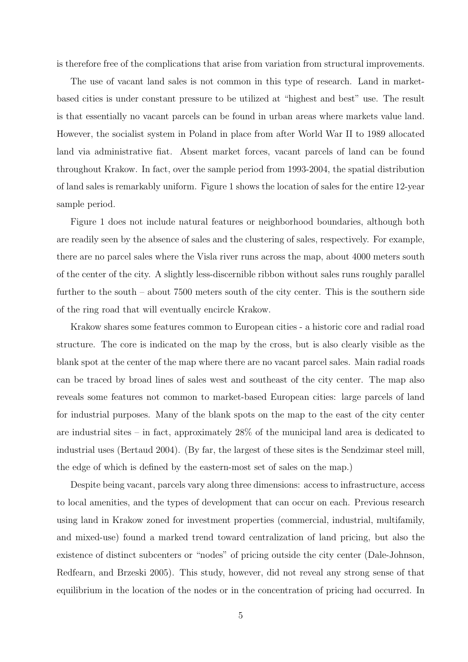is therefore free of the complications that arise from variation from structural improvements.

The use of vacant land sales is not common in this type of research. Land in marketbased cities is under constant pressure to be utilized at "highest and best" use. The result is that essentially no vacant parcels can be found in urban areas where markets value land. However, the socialist system in Poland in place from after World War II to 1989 allocated land via administrative fiat. Absent market forces, vacant parcels of land can be found throughout Krakow. In fact, over the sample period from 1993-2004, the spatial distribution of land sales is remarkably uniform. Figure 1 shows the location of sales for the entire 12-year sample period.

Figure 1 does not include natural features or neighborhood boundaries, although both are readily seen by the absence of sales and the clustering of sales, respectively. For example, there are no parcel sales where the Visla river runs across the map, about 4000 meters south of the center of the city. A slightly less-discernible ribbon without sales runs roughly parallel further to the south – about 7500 meters south of the city center. This is the southern side of the ring road that will eventually encircle Krakow.

Krakow shares some features common to European cities - a historic core and radial road structure. The core is indicated on the map by the cross, but is also clearly visible as the blank spot at the center of the map where there are no vacant parcel sales. Main radial roads can be traced by broad lines of sales west and southeast of the city center. The map also reveals some features not common to market-based European cities: large parcels of land for industrial purposes. Many of the blank spots on the map to the east of the city center are industrial sites – in fact, approximately 28% of the municipal land area is dedicated to industrial uses (Bertaud 2004). (By far, the largest of these sites is the Sendzimar steel mill, the edge of which is defined by the eastern-most set of sales on the map.)

Despite being vacant, parcels vary along three dimensions: access to infrastructure, access to local amenities, and the types of development that can occur on each. Previous research using land in Krakow zoned for investment properties (commercial, industrial, multifamily, and mixed-use) found a marked trend toward centralization of land pricing, but also the existence of distinct subcenters or "nodes" of pricing outside the city center (Dale-Johnson, Redfearn, and Brzeski 2005). This study, however, did not reveal any strong sense of that equilibrium in the location of the nodes or in the concentration of pricing had occurred. In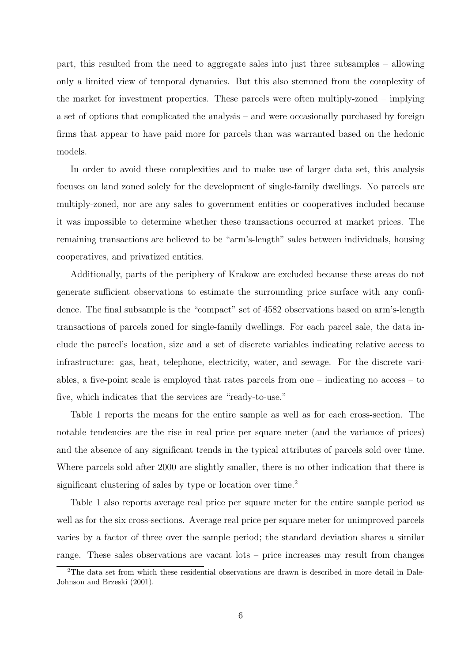part, this resulted from the need to aggregate sales into just three subsamples – allowing only a limited view of temporal dynamics. But this also stemmed from the complexity of the market for investment properties. These parcels were often multiply-zoned – implying a set of options that complicated the analysis – and were occasionally purchased by foreign firms that appear to have paid more for parcels than was warranted based on the hedonic models.

In order to avoid these complexities and to make use of larger data set, this analysis focuses on land zoned solely for the development of single-family dwellings. No parcels are multiply-zoned, nor are any sales to government entities or cooperatives included because it was impossible to determine whether these transactions occurred at market prices. The remaining transactions are believed to be "arm's-length" sales between individuals, housing cooperatives, and privatized entities.

Additionally, parts of the periphery of Krakow are excluded because these areas do not generate sufficient observations to estimate the surrounding price surface with any confidence. The final subsample is the "compact" set of 4582 observations based on arm's-length transactions of parcels zoned for single-family dwellings. For each parcel sale, the data include the parcel's location, size and a set of discrete variables indicating relative access to infrastructure: gas, heat, telephone, electricity, water, and sewage. For the discrete variables, a five-point scale is employed that rates parcels from one – indicating no access – to five, which indicates that the services are "ready-to-use."

Table 1 reports the means for the entire sample as well as for each cross-section. The notable tendencies are the rise in real price per square meter (and the variance of prices) and the absence of any significant trends in the typical attributes of parcels sold over time. Where parcels sold after 2000 are slightly smaller, there is no other indication that there is significant clustering of sales by type or location over time.<sup>2</sup>

Table 1 also reports average real price per square meter for the entire sample period as well as for the six cross-sections. Average real price per square meter for unimproved parcels varies by a factor of three over the sample period; the standard deviation shares a similar range. These sales observations are vacant lots – price increases may result from changes

<sup>&</sup>lt;sup>2</sup>The data set from which these residential observations are drawn is described in more detail in Dale-Johnson and Brzeski (2001).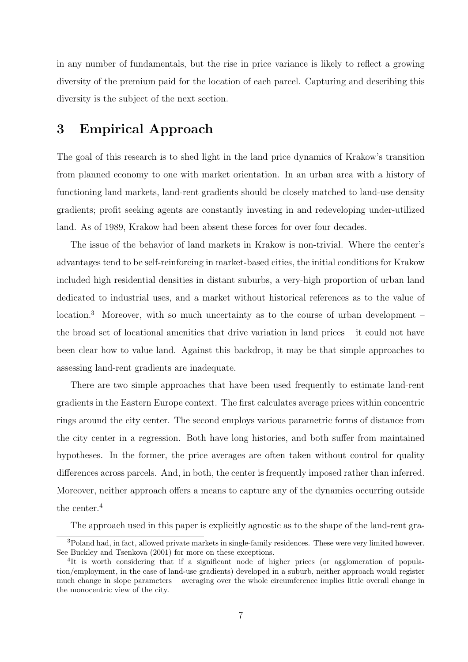in any number of fundamentals, but the rise in price variance is likely to reflect a growing diversity of the premium paid for the location of each parcel. Capturing and describing this diversity is the subject of the next section.

# 3 Empirical Approach

The goal of this research is to shed light in the land price dynamics of Krakow's transition from planned economy to one with market orientation. In an urban area with a history of functioning land markets, land-rent gradients should be closely matched to land-use density gradients; profit seeking agents are constantly investing in and redeveloping under-utilized land. As of 1989, Krakow had been absent these forces for over four decades.

The issue of the behavior of land markets in Krakow is non-trivial. Where the center's advantages tend to be self-reinforcing in market-based cities, the initial conditions for Krakow included high residential densities in distant suburbs, a very-high proportion of urban land dedicated to industrial uses, and a market without historical references as to the value of location.<sup>3</sup> Moreover, with so much uncertainty as to the course of urban development – the broad set of locational amenities that drive variation in land prices – it could not have been clear how to value land. Against this backdrop, it may be that simple approaches to assessing land-rent gradients are inadequate.

There are two simple approaches that have been used frequently to estimate land-rent gradients in the Eastern Europe context. The first calculates average prices within concentric rings around the city center. The second employs various parametric forms of distance from the city center in a regression. Both have long histories, and both suffer from maintained hypotheses. In the former, the price averages are often taken without control for quality differences across parcels. And, in both, the center is frequently imposed rather than inferred. Moreover, neither approach offers a means to capture any of the dynamics occurring outside the center.<sup>4</sup>

The approach used in this paper is explicitly agnostic as to the shape of the land-rent gra-

<sup>&</sup>lt;sup>3</sup>Poland had, in fact, allowed private markets in single-family residences. These were very limited however. See Buckley and Tsenkova (2001) for more on these exceptions.

<sup>&</sup>lt;sup>4</sup>It is worth considering that if a significant node of higher prices (or agglomeration of population/employment, in the case of land-use gradients) developed in a suburb, neither approach would register much change in slope parameters – averaging over the whole circumference implies little overall change in the monocentric view of the city.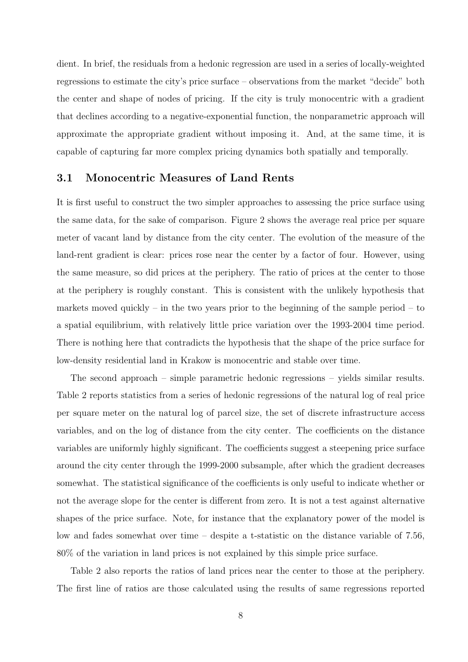dient. In brief, the residuals from a hedonic regression are used in a series of locally-weighted regressions to estimate the city's price surface – observations from the market "decide" both the center and shape of nodes of pricing. If the city is truly monocentric with a gradient that declines according to a negative-exponential function, the nonparametric approach will approximate the appropriate gradient without imposing it. And, at the same time, it is capable of capturing far more complex pricing dynamics both spatially and temporally.

### 3.1 Monocentric Measures of Land Rents

It is first useful to construct the two simpler approaches to assessing the price surface using the same data, for the sake of comparison. Figure 2 shows the average real price per square meter of vacant land by distance from the city center. The evolution of the measure of the land-rent gradient is clear: prices rose near the center by a factor of four. However, using the same measure, so did prices at the periphery. The ratio of prices at the center to those at the periphery is roughly constant. This is consistent with the unlikely hypothesis that markets moved quickly – in the two years prior to the beginning of the sample period – to a spatial equilibrium, with relatively little price variation over the 1993-2004 time period. There is nothing here that contradicts the hypothesis that the shape of the price surface for low-density residential land in Krakow is monocentric and stable over time.

The second approach – simple parametric hedonic regressions – yields similar results. Table 2 reports statistics from a series of hedonic regressions of the natural log of real price per square meter on the natural log of parcel size, the set of discrete infrastructure access variables, and on the log of distance from the city center. The coefficients on the distance variables are uniformly highly significant. The coefficients suggest a steepening price surface around the city center through the 1999-2000 subsample, after which the gradient decreases somewhat. The statistical significance of the coefficients is only useful to indicate whether or not the average slope for the center is different from zero. It is not a test against alternative shapes of the price surface. Note, for instance that the explanatory power of the model is low and fades somewhat over time – despite a t-statistic on the distance variable of 7.56, 80% of the variation in land prices is not explained by this simple price surface.

Table 2 also reports the ratios of land prices near the center to those at the periphery. The first line of ratios are those calculated using the results of same regressions reported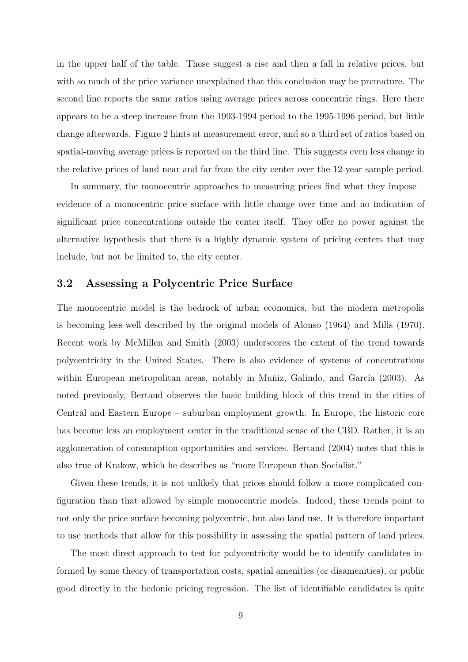in the upper half of the table. These suggest a rise and then a fall in relative prices, but with so much of the price variance unexplained that this conclusion may be premature. The second line reports the same ratios using average prices across concentric rings. Here there appears to be a steep increase from the 1993-1994 period to the 1995-1996 period, but little change afterwards. Figure 2 hints at measurement error, and so a third set of ratios based on spatial-moving average prices is reported on the third line. This suggests even less change in the relative prices of land near and far from the city center over the 12-year sample period.

In summary, the monocentric approaches to measuring prices find what they impose – evidence of a monocentric price surface with little change over time and no indication of significant price concentrations outside the center itself. They offer no power against the alternative hypothesis that there is a highly dynamic system of pricing centers that may include, but not be limited to, the city center.

#### 3.2 Assessing a Polycentric Price Surface

The monocentric model is the bedrock of urban economics, but the modern metropolis is becoming less-well described by the original models of Alonso (1964) and Mills (1970). Recent work by McMillen and Smith (2003) underscores the extent of the trend towards polycentricity in the United States. There is also evidence of systems of concentrations within European metropolitan areas, notably in Muñiz, Galindo, and García (2003). As noted previously, Bertaud observes the basic building block of this trend in the cities of Central and Eastern Europe – suburban employment growth. In Europe, the historic core has become less an employment center in the traditional sense of the CBD. Rather, it is an agglomeration of consumption opportunities and services. Bertaud (2004) notes that this is also true of Krakow, which he describes as "more European than Socialist."

Given these trends, it is not unlikely that prices should follow a more complicated configuration than that allowed by simple monocentric models. Indeed, these trends point to not only the price surface becoming polycentric, but also land use. It is therefore important to use methods that allow for this possibility in assessing the spatial pattern of land prices.

The most direct approach to test for polycentricity would be to identify candidates informed by some theory of transportation costs, spatial amenities (or disamenities), or public good directly in the hedonic pricing regression. The list of identifiable candidates is quite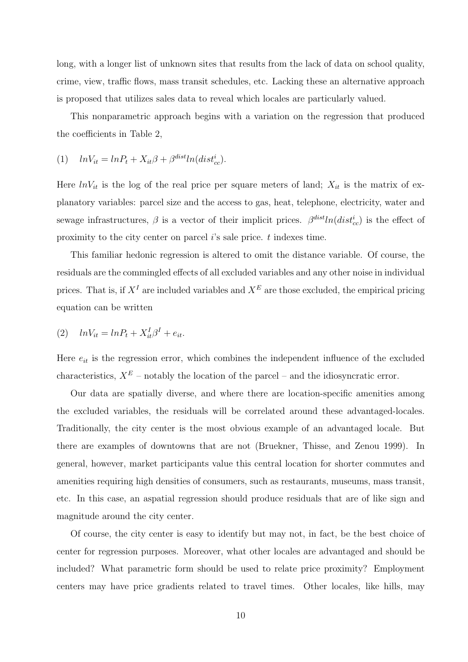long, with a longer list of unknown sites that results from the lack of data on school quality, crime, view, traffic flows, mass transit schedules, etc. Lacking these an alternative approach is proposed that utilizes sales data to reveal which locales are particularly valued.

This nonparametric approach begins with a variation on the regression that produced the coefficients in Table 2,

(1) 
$$
lnV_{it} = lnP_t + X_{it}\beta + \beta^{dist}ln(dist_{cc}^i)
$$
.

Here  $lnV_{it}$  is the log of the real price per square meters of land;  $X_{it}$  is the matrix of explanatory variables: parcel size and the access to gas, heat, telephone, electricity, water and sewage infrastructures,  $\beta$  is a vector of their implicit prices.  $\beta^{dist}ln(dist_{cc}^i)$  is the effect of proximity to the city center on parcel  $i$ 's sale price.  $t$  indexes time.

This familiar hedonic regression is altered to omit the distance variable. Of course, the residuals are the commingled effects of all excluded variables and any other noise in individual prices. That is, if  $X<sup>I</sup>$  are included variables and  $X<sup>E</sup>$  are those excluded, the empirical pricing equation can be written

$$
(2) \quad lnV_{it} = lnP_t + X_{it}^I \beta^I + e_{it}.
$$

Here  $e_{it}$  is the regression error, which combines the independent influence of the excluded characteristics,  $X^E$  – notably the location of the parcel – and the idiosyncratic error.

Our data are spatially diverse, and where there are location-specific amenities among the excluded variables, the residuals will be correlated around these advantaged-locales. Traditionally, the city center is the most obvious example of an advantaged locale. But there are examples of downtowns that are not (Bruekner, Thisse, and Zenou 1999). In general, however, market participants value this central location for shorter commutes and amenities requiring high densities of consumers, such as restaurants, museums, mass transit, etc. In this case, an aspatial regression should produce residuals that are of like sign and magnitude around the city center.

Of course, the city center is easy to identify but may not, in fact, be the best choice of center for regression purposes. Moreover, what other locales are advantaged and should be included? What parametric form should be used to relate price proximity? Employment centers may have price gradients related to travel times. Other locales, like hills, may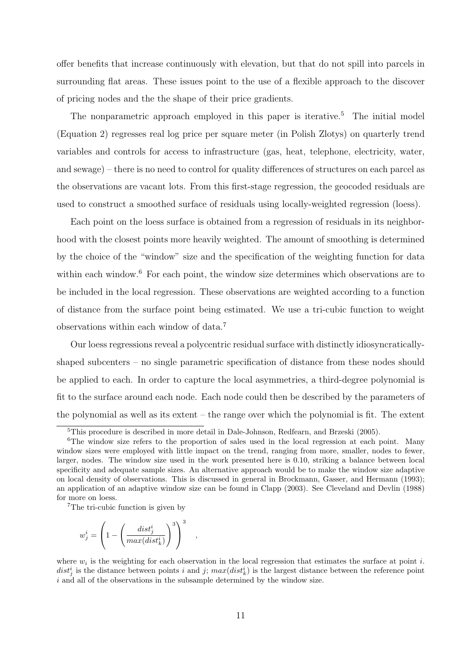offer benefits that increase continuously with elevation, but that do not spill into parcels in surrounding flat areas. These issues point to the use of a flexible approach to the discover of pricing nodes and the the shape of their price gradients.

The nonparametric approach employed in this paper is iterative.<sup>5</sup> The initial model (Equation 2) regresses real log price per square meter (in Polish Zlotys) on quarterly trend variables and controls for access to infrastructure (gas, heat, telephone, electricity, water, and sewage) – there is no need to control for quality differences of structures on each parcel as the observations are vacant lots. From this first-stage regression, the geocoded residuals are used to construct a smoothed surface of residuals using locally-weighted regression (loess).

Each point on the loess surface is obtained from a regression of residuals in its neighborhood with the closest points more heavily weighted. The amount of smoothing is determined by the choice of the "window" size and the specification of the weighting function for data within each window.<sup>6</sup> For each point, the window size determines which observations are to be included in the local regression. These observations are weighted according to a function of distance from the surface point being estimated. We use a tri-cubic function to weight observations within each window of data.<sup>7</sup>

Our loess regressions reveal a polycentric residual surface with distinctly idiosyncraticallyshaped subcenters – no single parametric specification of distance from these nodes should be applied to each. In order to capture the local asymmetries, a third-degree polynomial is fit to the surface around each node. Each node could then be described by the parameters of the polynomial as well as its extent – the range over which the polynomial is fit. The extent

,

<sup>7</sup>The tri-cubic function is given by

$$
w^i_j = \left(1 - \left(\frac{dist^i_j}{max(dist^i_k)}\right)^3\right)^3
$$

<sup>5</sup>This procedure is described in more detail in Dale-Johnson, Redfearn, and Brzeski (2005).

 ${}^{6}$ The window size refers to the proportion of sales used in the local regression at each point. Many window sizes were employed with little impact on the trend, ranging from more, smaller, nodes to fewer, larger, nodes. The window size used in the work presented here is 0.10, striking a balance between local specificity and adequate sample sizes. An alternative approach would be to make the window size adaptive on local density of observations. This is discussed in general in Brockmann, Gasser, and Hermann (1993); an application of an adaptive window size can be found in Clapp (2003). See Cleveland and Devlin (1988) for more on loess.

where  $w_i$  is the weighting for each observation in the local regression that estimates the surface at point i.  $dist_j^i$  is the distance between points i and j;  $max(dist_k^i)$  is the largest distance between the reference point i and all of the observations in the subsample determined by the window size.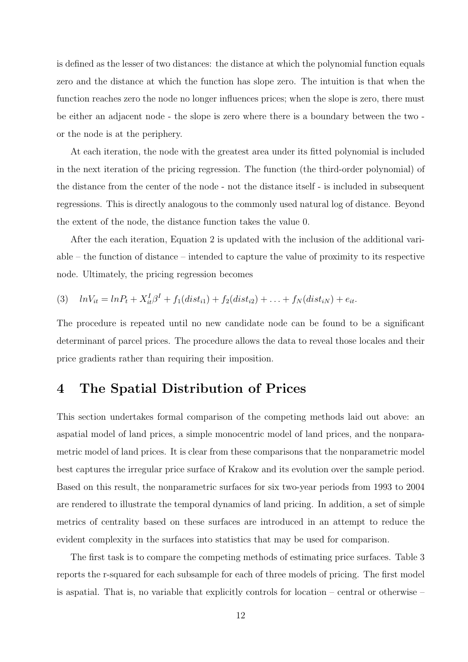is defined as the lesser of two distances: the distance at which the polynomial function equals zero and the distance at which the function has slope zero. The intuition is that when the function reaches zero the node no longer influences prices; when the slope is zero, there must be either an adjacent node - the slope is zero where there is a boundary between the two or the node is at the periphery.

At each iteration, the node with the greatest area under its fitted polynomial is included in the next iteration of the pricing regression. The function (the third-order polynomial) of the distance from the center of the node - not the distance itself - is included in subsequent regressions. This is directly analogous to the commonly used natural log of distance. Beyond the extent of the node, the distance function takes the value 0.

After the each iteration, Equation 2 is updated with the inclusion of the additional vari $a =$  the function of distance – intended to capture the value of proximity to its respective node. Ultimately, the pricing regression becomes

(3) 
$$
ln V_{it} = ln P_t + X_{it}^I \beta^I + f_1(dist_{i1}) + f_2(dist_{i2}) + ... + f_N(dist_{iN}) + e_{it}.
$$

The procedure is repeated until no new candidate node can be found to be a significant determinant of parcel prices. The procedure allows the data to reveal those locales and their price gradients rather than requiring their imposition.

## 4 The Spatial Distribution of Prices

This section undertakes formal comparison of the competing methods laid out above: an aspatial model of land prices, a simple monocentric model of land prices, and the nonparametric model of land prices. It is clear from these comparisons that the nonparametric model best captures the irregular price surface of Krakow and its evolution over the sample period. Based on this result, the nonparametric surfaces for six two-year periods from 1993 to 2004 are rendered to illustrate the temporal dynamics of land pricing. In addition, a set of simple metrics of centrality based on these surfaces are introduced in an attempt to reduce the evident complexity in the surfaces into statistics that may be used for comparison.

The first task is to compare the competing methods of estimating price surfaces. Table 3 reports the r-squared for each subsample for each of three models of pricing. The first model is aspatial. That is, no variable that explicitly controls for location – central or otherwise –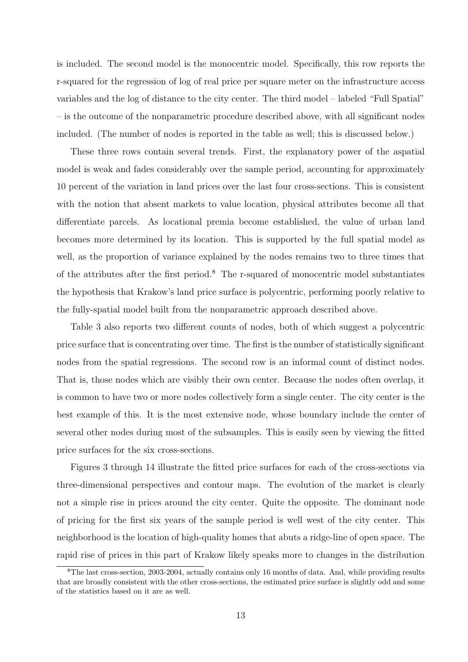is included. The second model is the monocentric model. Specifically, this row reports the r-squared for the regression of log of real price per square meter on the infrastructure access variables and the log of distance to the city center. The third model – labeled "Full Spatial" – is the outcome of the nonparametric procedure described above, with all significant nodes included. (The number of nodes is reported in the table as well; this is discussed below.)

These three rows contain several trends. First, the explanatory power of the aspatial model is weak and fades considerably over the sample period, accounting for approximately 10 percent of the variation in land prices over the last four cross-sections. This is consistent with the notion that absent markets to value location, physical attributes become all that differentiate parcels. As locational premia become established, the value of urban land becomes more determined by its location. This is supported by the full spatial model as well, as the proportion of variance explained by the nodes remains two to three times that of the attributes after the first period.<sup>8</sup> The r-squared of monocentric model substantiates the hypothesis that Krakow's land price surface is polycentric, performing poorly relative to the fully-spatial model built from the nonparametric approach described above.

Table 3 also reports two different counts of nodes, both of which suggest a polycentric price surface that is concentrating over time. The first is the number of statistically significant nodes from the spatial regressions. The second row is an informal count of distinct nodes. That is, those nodes which are visibly their own center. Because the nodes often overlap, it is common to have two or more nodes collectively form a single center. The city center is the best example of this. It is the most extensive node, whose boundary include the center of several other nodes during most of the subsamples. This is easily seen by viewing the fitted price surfaces for the six cross-sections.

Figures 3 through 14 illustrate the fitted price surfaces for each of the cross-sections via three-dimensional perspectives and contour maps. The evolution of the market is clearly not a simple rise in prices around the city center. Quite the opposite. The dominant node of pricing for the first six years of the sample period is well west of the city center. This neighborhood is the location of high-quality homes that abuts a ridge-line of open space. The rapid rise of prices in this part of Krakow likely speaks more to changes in the distribution

<sup>8</sup>The last cross-section, 2003-2004, actually contains only 16 months of data. And, while providing results that are broadly consistent with the other cross-sections, the estimated price surface is slightly odd and some of the statistics based on it are as well.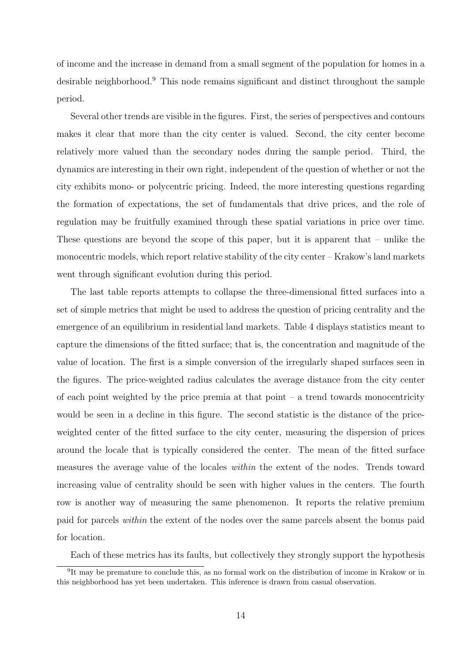of income and the increase in demand from a small segment of the population for homes in a desirable neighborhood.<sup>9</sup> This node remains significant and distinct throughout the sample period.

Several other trends are visible in the figures. First, the series of perspectives and contours makes it clear that more than the city center is valued. Second, the city center become relatively more valued than the secondary nodes during the sample period. Third, the dynamics are interesting in their own right, independent of the question of whether or not the city exhibits mono- or polycentric pricing. Indeed, the more interesting questions regarding the formation of expectations, the set of fundamentals that drive prices, and the role of regulation may be fruitfully examined through these spatial variations in price over time. These questions are beyond the scope of this paper, but it is apparent that – unlike the monocentric models, which report relative stability of the city center – Krakow's land markets went through significant evolution during this period.

The last table reports attempts to collapse the three-dimensional fitted surfaces into a set of simple metrics that might be used to address the question of pricing centrality and the emergence of an equilibrium in residential land markets. Table 4 displays statistics meant to capture the dimensions of the fitted surface; that is, the concentration and magnitude of the value of location. The first is a simple conversion of the irregularly shaped surfaces seen in the figures. The price-weighted radius calculates the average distance from the city center of each point weighted by the price premia at that  $point - a$  trend towards monocentricity would be seen in a decline in this figure. The second statistic is the distance of the priceweighted center of the fitted surface to the city center, measuring the dispersion of prices around the locale that is typically considered the center. The mean of the fitted surface measures the average value of the locales within the extent of the nodes. Trends toward increasing value of centrality should be seen with higher values in the centers. The fourth row is another way of measuring the same phenomenon. It reports the relative premium paid for parcels within the extent of the nodes over the same parcels absent the bonus paid for location.

Each of these metrics has its faults, but collectively they strongly support the hypothesis

<sup>&</sup>lt;sup>9</sup>It may be premature to conclude this, as no formal work on the distribution of income in Krakow or in this neighborhood has yet been undertaken. This inference is drawn from casual observation.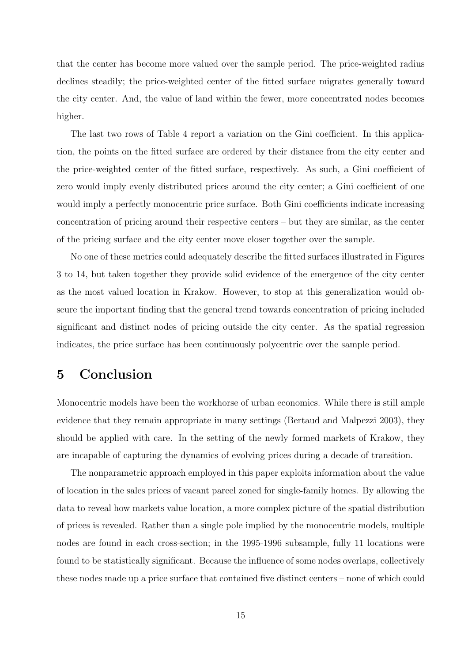that the center has become more valued over the sample period. The price-weighted radius declines steadily; the price-weighted center of the fitted surface migrates generally toward the city center. And, the value of land within the fewer, more concentrated nodes becomes higher.

The last two rows of Table 4 report a variation on the Gini coefficient. In this application, the points on the fitted surface are ordered by their distance from the city center and the price-weighted center of the fitted surface, respectively. As such, a Gini coefficient of zero would imply evenly distributed prices around the city center; a Gini coefficient of one would imply a perfectly monocentric price surface. Both Gini coefficients indicate increasing concentration of pricing around their respective centers – but they are similar, as the center of the pricing surface and the city center move closer together over the sample.

No one of these metrics could adequately describe the fitted surfaces illustrated in Figures 3 to 14, but taken together they provide solid evidence of the emergence of the city center as the most valued location in Krakow. However, to stop at this generalization would obscure the important finding that the general trend towards concentration of pricing included significant and distinct nodes of pricing outside the city center. As the spatial regression indicates, the price surface has been continuously polycentric over the sample period.

### 5 Conclusion

Monocentric models have been the workhorse of urban economics. While there is still ample evidence that they remain appropriate in many settings (Bertaud and Malpezzi 2003), they should be applied with care. In the setting of the newly formed markets of Krakow, they are incapable of capturing the dynamics of evolving prices during a decade of transition.

The nonparametric approach employed in this paper exploits information about the value of location in the sales prices of vacant parcel zoned for single-family homes. By allowing the data to reveal how markets value location, a more complex picture of the spatial distribution of prices is revealed. Rather than a single pole implied by the monocentric models, multiple nodes are found in each cross-section; in the 1995-1996 subsample, fully 11 locations were found to be statistically significant. Because the influence of some nodes overlaps, collectively these nodes made up a price surface that contained five distinct centers – none of which could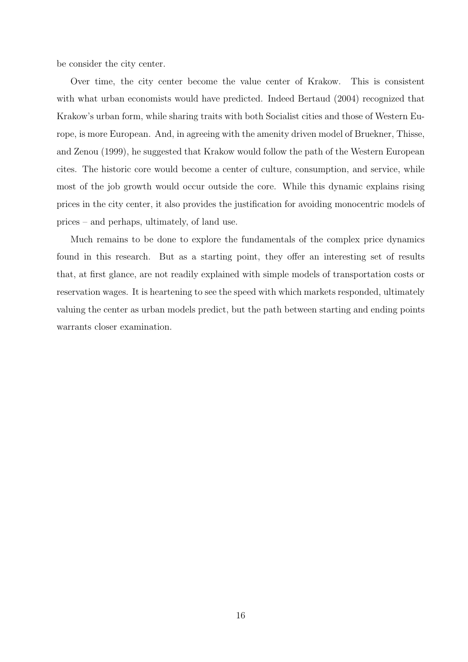be consider the city center.

Over time, the city center become the value center of Krakow. This is consistent with what urban economists would have predicted. Indeed Bertaud  $(2004)$  recognized that Krakow's urban form, while sharing traits with both Socialist cities and those of Western Europe, is more European. And, in agreeing with the amenity driven model of Bruekner, Thisse, and Zenou (1999), he suggested that Krakow would follow the path of the Western European cites. The historic core would become a center of culture, consumption, and service, while most of the job growth would occur outside the core. While this dynamic explains rising prices in the city center, it also provides the justification for avoiding monocentric models of prices – and perhaps, ultimately, of land use.

Much remains to be done to explore the fundamentals of the complex price dynamics found in this research. But as a starting point, they offer an interesting set of results that, at first glance, are not readily explained with simple models of transportation costs or reservation wages. It is heartening to see the speed with which markets responded, ultimately valuing the center as urban models predict, but the path between starting and ending points warrants closer examination.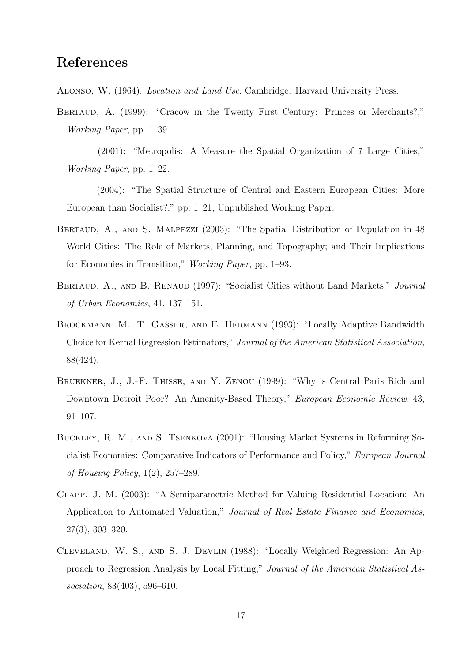## References

- Alonso, W. (1964): Location and Land Use. Cambridge: Harvard University Press.
- BERTAUD, A. (1999): "Cracow in the Twenty First Century: Princes or Merchants?," Working Paper, pp. 1–39.
- (2001): "Metropolis: A Measure the Spatial Organization of 7 Large Cities," Working Paper, pp. 1–22.
- (2004): "The Spatial Structure of Central and Eastern European Cities: More European than Socialist?," pp. 1–21, Unpublished Working Paper.
- BERTAUD, A., AND S. MALPEZZI (2003): "The Spatial Distribution of Population in 48 World Cities: The Role of Markets, Planning, and Topography; and Their Implications for Economies in Transition," Working Paper, pp. 1–93.
- BERTAUD, A., AND B. RENAUD (1997): "Socialist Cities without Land Markets," *Journal* of Urban Economics, 41, 137–151.
- Brockmann, M., T. Gasser, and E. Hermann (1993): "Locally Adaptive Bandwidth Choice for Kernal Regression Estimators," Journal of the American Statistical Association, 88(424).
- BRUEKNER, J., J.-F. THISSE, AND Y. ZENOU (1999): "Why is Central Paris Rich and Downtown Detroit Poor? An Amenity-Based Theory," European Economic Review, 43, 91–107.
- Buckley, R. M., and S. Tsenkova (2001): "Housing Market Systems in Reforming Socialist Economies: Comparative Indicators of Performance and Policy," European Journal of Housing Policy, 1(2), 257–289.
- Clapp, J. M. (2003): "A Semiparametric Method for Valuing Residential Location: An Application to Automated Valuation," Journal of Real Estate Finance and Economics, 27(3), 303–320.
- Cleveland, W. S., and S. J. Devlin (1988): "Locally Weighted Regression: An Approach to Regression Analysis by Local Fitting," Journal of the American Statistical Association, 83(403), 596–610.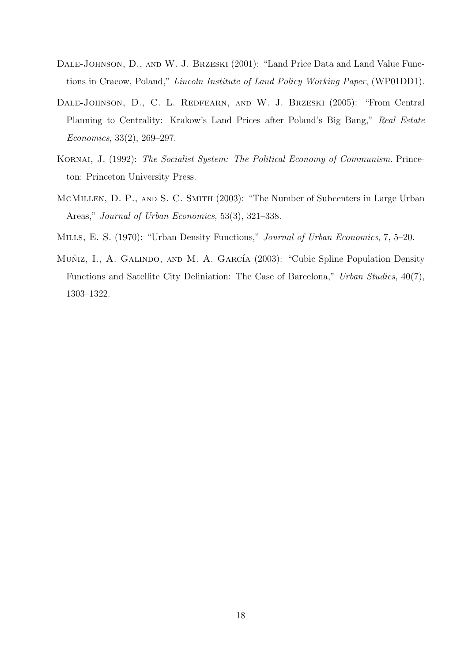- DALE-JOHNSON, D., AND W. J. BRZESKI (2001): "Land Price Data and Land Value Functions in Cracow, Poland," Lincoln Institute of Land Policy Working Paper, (WP01DD1).
- DALE-JOHNSON, D., C. L. REDFEARN, AND W. J. BRZESKI (2005): "From Central Planning to Centrality: Krakow's Land Prices after Poland's Big Bang," Real Estate Economics, 33(2), 269–297.
- KORNAI, J. (1992): The Socialist System: The Political Economy of Communism. Princeton: Princeton University Press.
- MCMILLEN, D. P., AND S. C. SMITH (2003): "The Number of Subcenters in Large Urban Areas," Journal of Urban Economics, 53(3), 321–338.
- Mills, E. S. (1970): "Urban Density Functions," Journal of Urban Economics, 7, 5–20.
- MUÑIZ, I., A. GALINDO, AND M. A. GARCÍA (2003): "Cubic Spline Population Density Functions and Satellite City Deliniation: The Case of Barcelona," Urban Studies, 40(7), 1303–1322.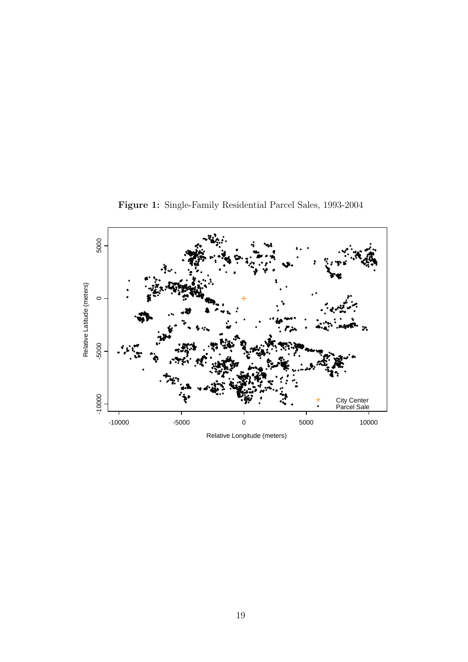

Figure 1: Single-Family Residential Parcel Sales, 1993-2004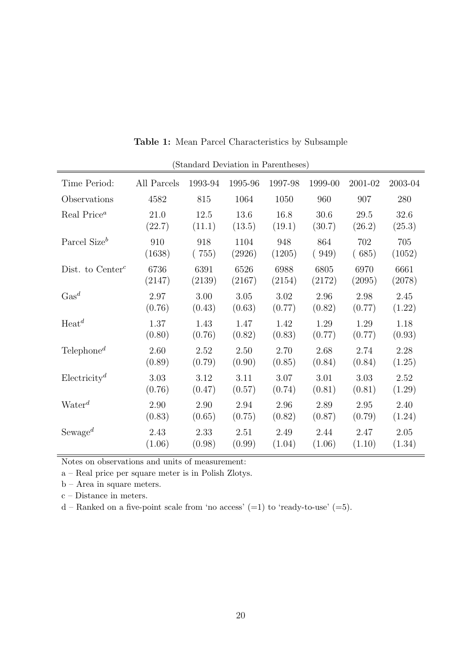| (Standard Deviation in Parentheses) |             |         |         |         |         |         |         |  |
|-------------------------------------|-------------|---------|---------|---------|---------|---------|---------|--|
| Time Period:                        | All Parcels | 1993-94 | 1995-96 | 1997-98 | 1999-00 | 2001-02 | 2003-04 |  |
| Observations                        | 4582        | 815     | 1064    | 1050    | 960     | 907     | 280     |  |
| Real Price <sup>a</sup>             | 21.0        | 12.5    | 13.6    | 16.8    | 30.6    | 29.5    | 32.6    |  |
|                                     | (22.7)      | (11.1)  | (13.5)  | (19.1)  | (30.7)  | (26.2)  | (25.3)  |  |
| Parcel Size $^b$                    | 910         | 918     | 1104    | 948     | 864     | 702     | 705     |  |
|                                     | (1638)      | (755)   | (2926)  | (1205)  | (949)   | (685)   | (1052)  |  |
| Dist. to $Center^c$                 | 6736        | 6391    | 6526    | 6988    | 6805    | 6970    | 6661    |  |
|                                     | (2147)      | (2139)  | (2167)  | (2154)  | (2172)  | (2095)  | (2078)  |  |
| $\text{Gas}^d$                      | 2.97        | 3.00    | 3.05    | 3.02    | 2.96    | 2.98    | 2.45    |  |
|                                     | (0.76)      | (0.43)  | (0.63)  | (0.77)  | (0.82)  | (0.77)  | (1.22)  |  |
| $\text{Heat}^d$                     | 1.37        | 1.43    | 1.47    | 1.42    | 1.29    | 1.29    | 1.18    |  |
|                                     | (0.80)      | (0.76)  | (0.82)  | (0.83)  | (0.77)  | (0.77)  | (0.93)  |  |
| Telephone <sup><math>d</math></sup> | 2.60        | 2.52    | 2.50    | 2.70    | 2.68    | 2.74    | 2.28    |  |
|                                     | (0.89)      | (0.79)  | (0.90)  | (0.85)  | (0.84)  | (0.84)  | (1.25)  |  |
| $Electricity^d$                     | 3.03        | 3.12    | 3.11    | 3.07    | 3.01    | 3.03    | 2.52    |  |
|                                     | (0.76)      | (0.47)  | (0.57)  | (0.74)  | (0.81)  | (0.81)  | (1.29)  |  |
| $\mathrm{Water}^d$                  | 2.90        | 2.90    | 2.94    | 2.96    | 2.89    | 2.95    | 2.40    |  |
|                                     | (0.83)      | (0.65)  | (0.75)  | (0.82)  | (0.87)  | (0.79)  | (1.24)  |  |
| Sewage <sup><math>d</math></sup>    | 2.43        | 2.33    | 2.51    | 2.49    | 2.44    | 2.47    | 2.05    |  |
|                                     | (1.06)      | (0.98)  | (0.99)  | (1.04)  | (1.06)  | (1.10)  | (1.34)  |  |

Table 1: Mean Parcel Characteristics by Subsample

Notes on observations and units of measurement:

a – Real price per square meter is in Polish Zlotys.

b – Area in square meters.

c – Distance in meters.

 $d$  – Ranked on a five-point scale from 'no access' (=1) to 'ready-to-use' (=5).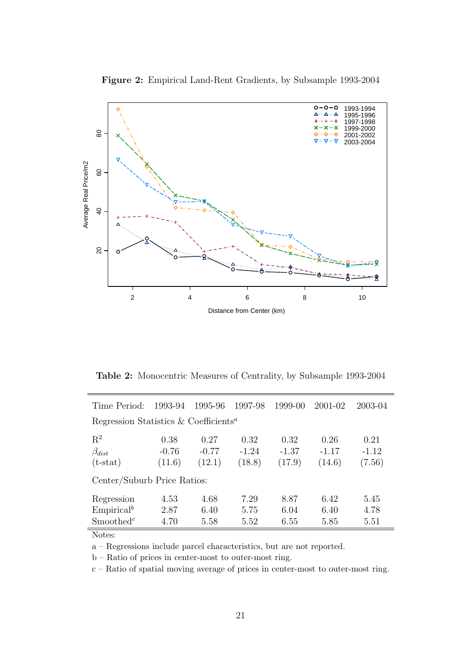

Figure 2: Empirical Land-Rent Gradients, by Subsample 1993-2004

Table 2: Monocentric Measures of Centrality, by Subsample 1993-2004

| Time Period:                                      | 1993-94 | 1995-96 | 1997-98 | 1999-00 | 2001-02 | 2003-04 |  |  |  |
|---------------------------------------------------|---------|---------|---------|---------|---------|---------|--|--|--|
| Regression Statistics & Coefficients <sup>a</sup> |         |         |         |         |         |         |  |  |  |
| $R^2$                                             | 0.38    | 0.27    | 0.32    | 0.32    | 0.26    | 0.21    |  |  |  |
| $\beta_{dist}$                                    | $-0.76$ | $-0.77$ | $-1.24$ | $-1.37$ | $-1.17$ | $-1.12$ |  |  |  |
| $(t-stat)$                                        | (11.6)  | (12.1)  | (18.8)  | (17.9)  | (14.6)  | (7.56)  |  |  |  |
| Center/Suburb Price Ratios:                       |         |         |         |         |         |         |  |  |  |
| Regression                                        | 4.53    | 4.68    | 7.29    | 8.87    | 6.42    | 5.45    |  |  |  |
| Empirical <sup>b</sup>                            | 2.87    | 6.40    | 5.75    | 6.04    | 6.40    | 4.78    |  |  |  |
| Smoothed <sup><math>c</math></sup>                | 4.70    | 5.58    | 5.52    | 6.55    | 5.85    | 5.51    |  |  |  |

Notes:

a – Regressions include parcel characteristics, but are not reported.

b – Ratio of prices in center-most to outer-most ring.

c – Ratio of spatial moving average of prices in center-most to outer-most ring.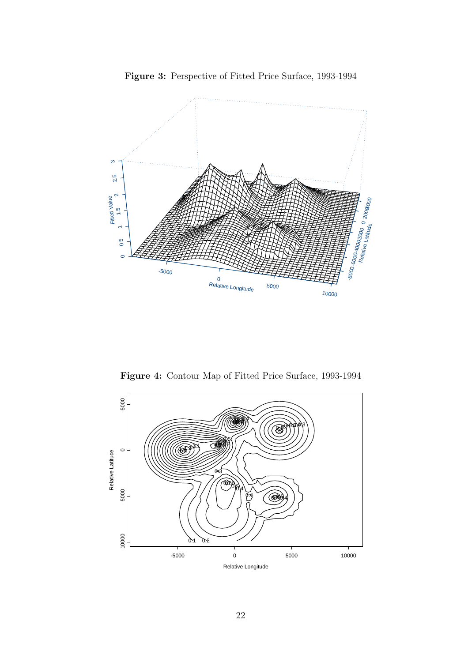

Figure 3: Perspective of Fitted Price Surface, 1993-1994

Figure 4: Contour Map of Fitted Price Surface, 1993-1994

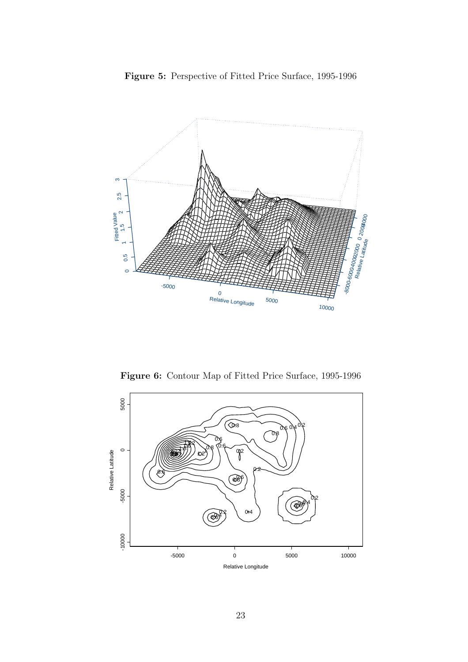



Figure 6: Contour Map of Fitted Price Surface, 1995-1996

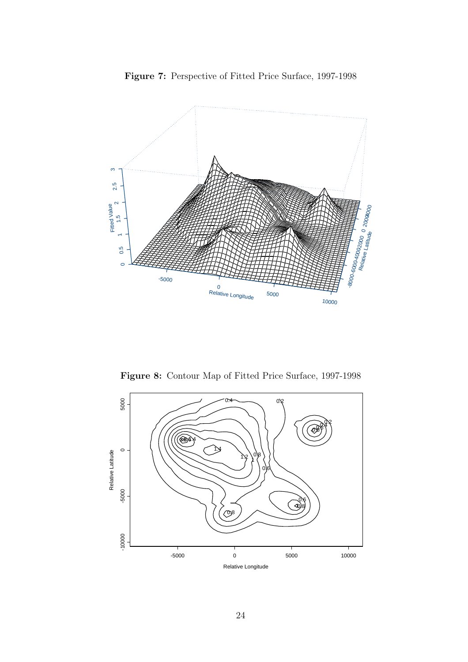



Figure 8: Contour Map of Fitted Price Surface, 1997-1998

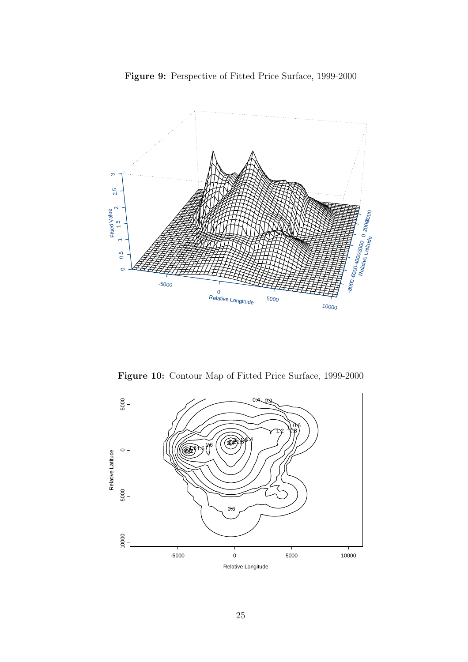



Figure 10: Contour Map of Fitted Price Surface, 1999-2000

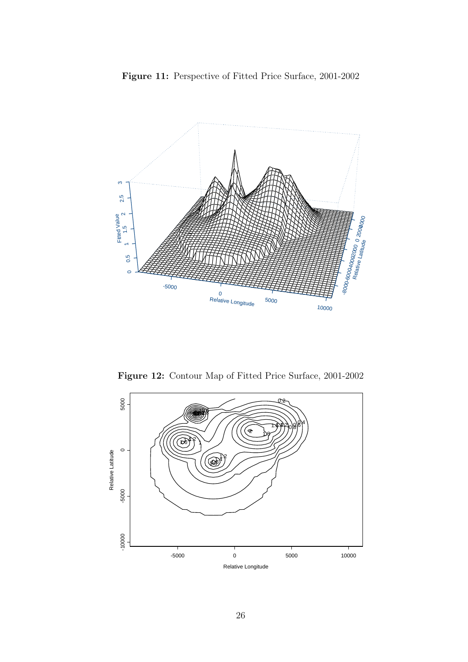



Figure 12: Contour Map of Fitted Price Surface, 2001-2002

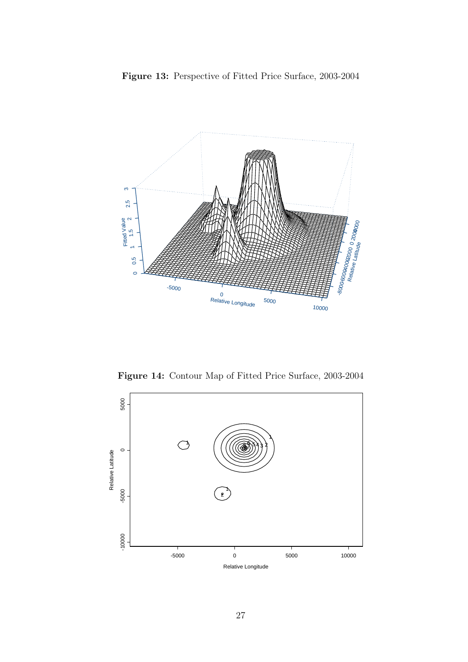



Figure 14: Contour Map of Fitted Price Surface, 2003-2004